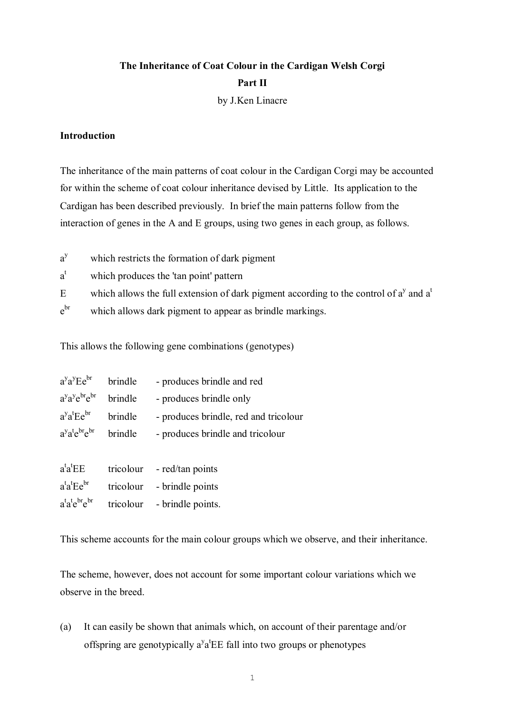# **The Inheritance of Coat Colour in the Cardigan Welsh Corgi Part II** by J.Ken Linacre

### **Introduction**

The inheritance of the main patterns of coat colour in the Cardigan Corgi may be accounted for within the scheme of coat colour inheritance devised by Little. Its application to the Cardigan has been described previously. In brief the main patterns follow from the interaction of genes in the A and E groups, using two genes in each group, as follows.

- a which restricts the formation of dark pigment
- a t which produces the 'tan point' pattern
- E which allows the full extension of dark pigment according to the control of  $a^y$  and  $a^t$
- e br which allows dark pigment to appear as brindle markings.

This allows the following gene combinations (genotypes)

| $a^y a^y E e^{br}$      | brindle | - produces brindle and red            |
|-------------------------|---------|---------------------------------------|
| $a^ya^ye^{br}e^{br}$    | brindle | - produces brindle only               |
| $a^ya^tEe^{br}$         | brindle | - produces brindle, red and tricolour |
| $a^ya^te^{br}e^{br}$    | brindle | - produces brindle and tricolour      |
|                         |         |                                       |
| $a^t a^t E E$           |         | tricolour - red/tan points            |
| $a^t a^t E e^{br}$      |         | tricolour - brindle points            |
| $a^t a^t e^{br} e^{br}$ |         | tricolour - brindle points.           |

This scheme accounts for the main colour groups which we observe, and their inheritance.

The scheme, however, does not account for some important colour variations which we observe in the breed.

(a) It can easily be shown that animals which, on account of their parentage and/or offspring are genotypically  $a^y a^t E E$  fall into two groups or phenotypes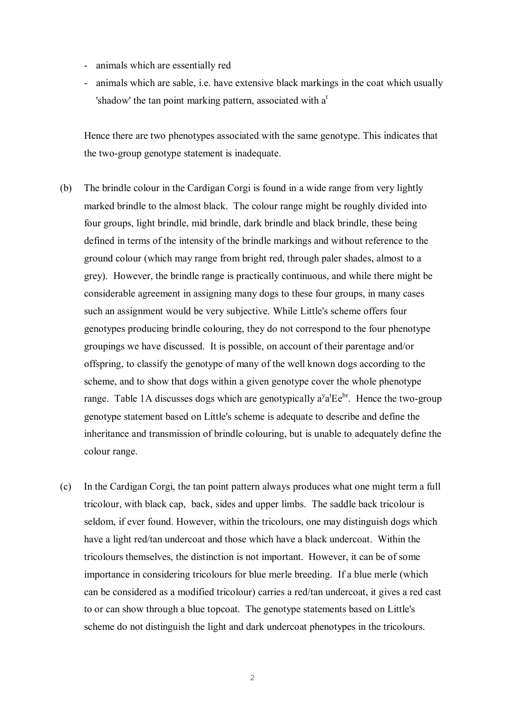- animals which are essentially red
- animals which are sable, i.e. have extensive black markings in the coat which usually 'shadow' the tan point marking pattern, associated with  $a<sup>t</sup>$

Hence there are two phenotypes associated with the same genotype. This indicates that the two-group genotype statement is inadequate.

- (b) The brindle colour in the Cardigan Corgi is found in a wide range from very lightly marked brindle to the almost black. The colour range might be roughly divided into four groups, light brindle, mid brindle, dark brindle and black brindle, these being defined in terms of the intensity of the brindle markings and without reference to the ground colour (which may range from bright red, through paler shades, almost to a grey). However, the brindle range is practically continuous, and while there might be considerable agreement in assigning many dogs to these four groups, in many cases such an assignment would be very subjective. While Little's scheme offers four genotypes producing brindle colouring, they do not correspond to the four phenotype groupings we have discussed. It is possible, on account of their parentage and/or offspring, to classify the genotype of many of the well known dogs according to the scheme, and to show that dogs within a given genotype cover the whole phenotype range. Table 1A discusses dogs which are genotypically  $a^{y}a^{t}Ee^{br}$ . Hence the two-group genotype statement based on Little's scheme is adequate to describe and define the inheritance and transmission of brindle colouring, but is unable to adequately define the colour range.
- (c) In the Cardigan Corgi, the tan point pattern always produces what one might term a full tricolour, with black cap, back, sides and upper limbs. The saddle back tricolour is seldom, if ever found. However, within the tricolours, one may distinguish dogs which have a light red/tan undercoat and those which have a black undercoat. Within the tricolours themselves, the distinction is not important. However, it can be of some importance in considering tricolours for blue merle breeding. If a blue merle (which can be considered as a modified tricolour) carries a red/tan undercoat, it gives a red cast to or can show through a blue topcoat. The genotype statements based on Little's scheme do not distinguish the light and dark undercoat phenotypes in the tricolours.

2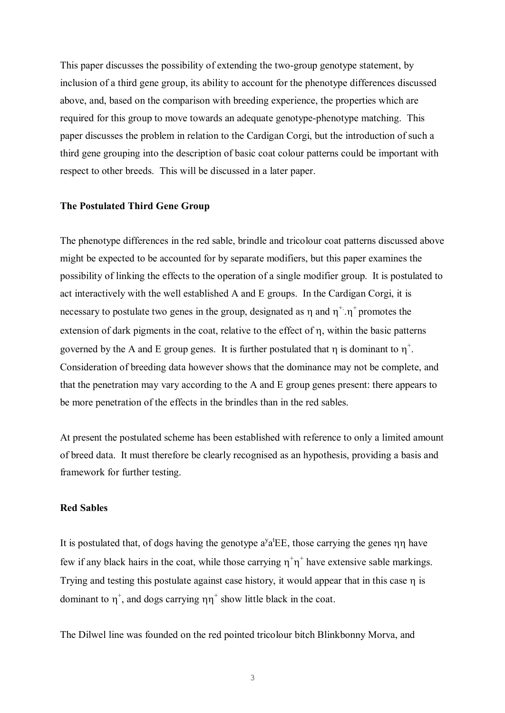This paper discusses the possibility of extending the two-group genotype statement, by inclusion of a third gene group, its ability to account for the phenotype differences discussed above, and, based on the comparison with breeding experience, the properties which are required for this group to move towards an adequate genotype-phenotype matching. This paper discusses the problem in relation to the Cardigan Corgi, but the introduction of such a third gene grouping into the description of basic coat colour patterns could be important with respect to other breeds. This will be discussed in a later paper.

## **The Postulated Third Gene Group**

The phenotype differences in the red sable, brindle and tricolour coat patterns discussed above might be expected to be accounted for by separate modifiers, but this paper examines the possibility of linking the effects to the operation of a single modifier group. It is postulated to act interactively with the well established A and E groups. In the Cardigan Corgi, it is necessary to postulate two genes in the group, designated as  $\eta$  and  $\eta^{\dagger}$ .  $\eta^{\dagger}$  promotes the extension of dark pigments in the coat, relative to the effect of n, within the basic patterns governed by the A and E group genes. It is further postulated that  $\eta$  is dominant to  $\eta^+$ . Consideration of breeding data however shows that the dominance may not be complete, and that the penetration may vary according to the A and E group genes present: there appears to be more penetration of the effects in the brindles than in the red sables.

At present the postulated scheme has been established with reference to only a limited amount of breed data. It must therefore be clearly recognised as an hypothesis, providing a basis and framework for further testing.

### **Red Sables**

It is postulated that, of dogs having the genotype  $a^y a^t \text{EE}$ , those carrying the genes  $\eta \eta$  have few if any black hairs in the coat, while those carrying  $\eta^+\eta^+$  have extensive sable markings. Trying and testing this postulate against case history, it would appear that in this case  $\eta$  is dominant to  $\eta^+$ , and dogs carrying  $\eta \eta^+$  show little black in the coat.

The Dilwel line was founded on the red pointed tricolour bitch Blinkbonny Morva, and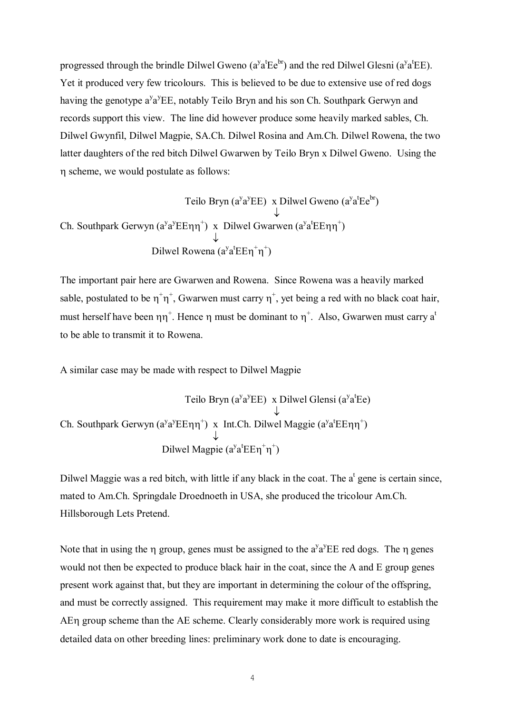progressed through the brindle Dilwel Gweno  $(a^{\gamma}a^tEe^{br})$  and the red Dilwel Glesni  $(a^{\gamma}a^tEE)$ . Yet it produced very few tricolours. This is believed to be due to extensive use of red dogs having the genotype  $a^y a^y E E$ , notably Teilo Bryn and his son Ch. Southpark Gerwyn and records support this view. The line did however produce some heavily marked sables, Ch. Dilwel Gwynfil, Dilwel Magpie, SA.Ch. Dilwel Rosina and Am.Ch. Dilwel Rowena, the two latter daughters of the red bitch Dilwel Gwarwen by Teilo Bryn x Dilwel Gweno. Using the h scheme, we would postulate as follows:

Teilo Bryn ( $a^ya^yEE$ ) x Dilwel Gweno  $(a^ya^tEe^{br})$  $\downarrow$ Ch. Southpark Gerwyn  $(a^{y}a^{y}E E \eta \eta^{+})$  x Dilwel Gwarwen  $(a^{y}a^{t}E E \eta \eta^{+})$  $\downarrow$ Dilwel Rowena  $(a^{y}a^{t}E E \eta^{+}\eta^{+})$ 

The important pair here are Gwarwen and Rowena. Since Rowena was a heavily marked sable, postulated to be  $\eta^+\eta^+$ , Gwarwen must carry  $\eta^+$ , yet being a red with no black coat hair, must herself have been  $\eta \eta^+$ . Hence  $\eta$  must be dominant to  $\eta^+$ . Also, Gwarwen must carry a<sup>t</sup> to be able to transmit it to Rowena.

A similar case may be made with respect to Dilwel Magpie

Teilo Bryn ( $a^ya^yEE$ ) x Dilwel Glensi ( $a^ya^tEe$ )  $\downarrow$ Ch. Southpark Gerwyn  $(a^{y}a^{y}E E \eta \eta^{+})$  x Int.Ch. Dilwel Maggie  $(a^{y}a^{t}E E \eta \eta^{+})$  $\downarrow$ Dilwel Magpie  $(a^{y}a^{t}E E \eta^{+}\eta^{+})$ 

Dilwel Maggie was a red bitch, with little if any black in the coat. The  $a^t$  gene is certain since, mated to Am.Ch. Springdale Droednoeth in USA, she produced the tricolour Am.Ch. Hillsborough Lets Pretend.

Note that in using the  $\eta$  group, genes must be assigned to the  $a^{\gamma}a^{\gamma}EE$  red dogs. The  $\eta$  genes would not then be expected to produce black hair in the coat, since the A and E group genes present work against that, but they are important in determining the colour of the offspring, and must be correctly assigned. This requirement may make it more difficult to establish the AEh group scheme than the AE scheme. Clearly considerably more work is required using detailed data on other breeding lines: preliminary work done to date is encouraging.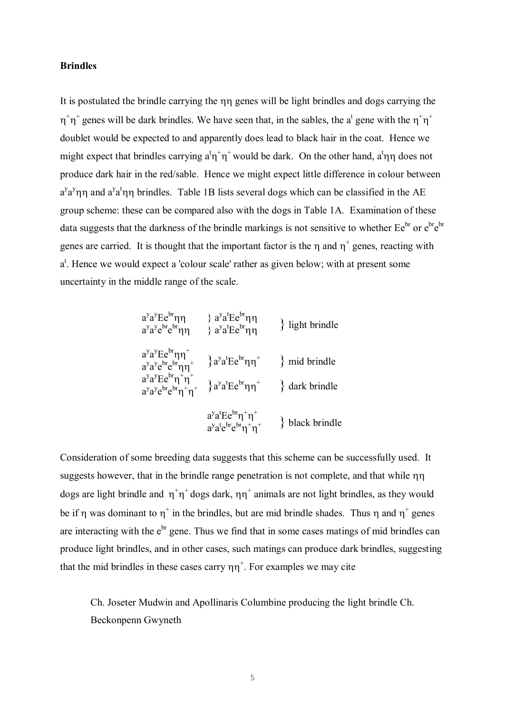#### **Brindles**

It is postulated the brindle carrying the  $\eta\eta$  genes will be light brindles and dogs carrying the  $\eta^+\eta^+$  genes will be dark brindles. We have seen that, in the sables, the a<sup>t</sup> gene with the  $\eta^+\eta^+$ doublet would be expected to and apparently does lead to black hair in the coat. Hence we might expect that brindles carrying  $a^t \eta^+ \eta^+$  would be dark. On the other hand,  $a^t \eta \eta$  does not produce dark hair in the red/sable. Hence we might expect little difference in colour between  $a^{y}a^{y}$ ηη and  $a^{y}a^{t}$ ηη brindles. Table 1B lists several dogs which can be classified in the AE group scheme: these can be compared also with the dogs in Table 1A. Examination of these data suggests that the darkness of the brindle markings is not sensitive to whether  $Ee^{br}$  or  $e^{br}e^{br}$ genes are carried. It is thought that the important factor is the  $\eta$  and  $\eta^+$  genes, reacting with a<sup>t</sup>. Hence we would expect a 'colour scale' rather as given below; with at present some uncertainty in the middle range of the scale.

$$
a^{y}a^{y}Ee^{br}\eta\eta \qquad \} a^{y}a^{t}Ee^{br}\eta\eta \qquad \} light brindle
$$
  
\n
$$
a^{y}a^{y}e^{bt}e^{br}\eta\eta^{+} \qquad \} a^{y}a^{t}Ee^{br}\eta\eta^{+} \qquad \} mid brindle
$$
  
\n
$$
a^{y}a^{y}e^{bt}e^{br}\eta\eta^{+} \qquad \} a^{y}a^{t}Ee^{br}\eta\eta^{+} \qquad \} mid brindle
$$
  
\n
$$
a^{y}a^{y}Ee^{br}\eta^{+}\eta^{+} \qquad \} a^{y}a^{t}Ee^{br}\eta\eta^{+} \qquad \} dark brindle
$$
  
\n
$$
a^{y}a^{t}Ee^{br}\eta^{+}\eta^{+} \qquad \} black brindle
$$
  
\n
$$
a^{y}a^{t}e^{bt}e^{br}\eta^{+}\eta^{+} \qquad \} black brindle
$$

Consideration of some breeding data suggests that this scheme can be successfully used. It suggests however, that in the brindle range penetration is not complete, and that while  $\eta\eta$ dogs are light brindle and  $\eta^+\eta^+$  dogs dark,  $\eta\eta^+$  animals are not light brindles, as they would be if  $\eta$  was dominant to  $\eta^+$  in the brindles, but are mid brindle shades. Thus  $\eta$  and  $\eta^+$  genes are interacting with the  $e^{br}$  gene. Thus we find that in some cases matings of mid brindles can produce light brindles, and in other cases, such matings can produce dark brindles, suggesting that the mid brindles in these cases carry  $\eta \eta^+$ . For examples we may cite

Ch. Joseter Mudwin and Apollinaris Columbine producing the light brindle Ch. Beckonpenn Gwyneth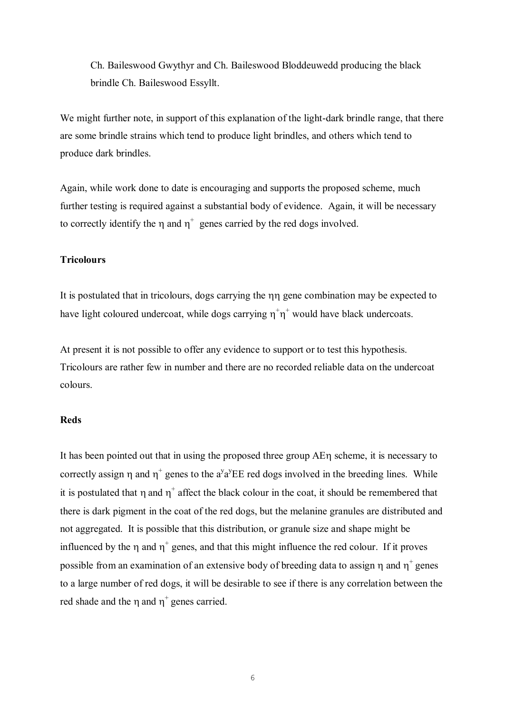Ch. Baileswood Gwythyr and Ch. Baileswood Bloddeuwedd producing the black brindle Ch. Baileswood Essyllt.

We might further note, in support of this explanation of the light-dark brindle range, that there are some brindle strains which tend to produce light brindles, and others which tend to produce dark brindles.

Again, while work done to date is encouraging and supports the proposed scheme, much further testing is required against a substantial body of evidence. Again, it will be necessary to correctly identify the  $\eta$  and  $\eta^+$  genes carried by the red dogs involved.

#### **Tricolours**

It is postulated that in tricolours, dogs carrying the  $\eta\eta$  gene combination may be expected to have light coloured undercoat, while dogs carrying  $\eta^+\eta^+$  would have black undercoats.

At present it is not possible to offer any evidence to support or to test this hypothesis. Tricolours are rather few in number and there are no recorded reliable data on the undercoat colours.

#### **Reds**

It has been pointed out that in using the proposed three group AE $\eta$  scheme, it is necessary to correctly assign  $\eta$  and  $\eta^+$  genes to the a<sup>y</sup>a<sup>y</sup>EE red dogs involved in the breeding lines. While it is postulated that  $\eta$  and  $\eta^+$  affect the black colour in the coat, it should be remembered that there is dark pigment in the coat of the red dogs, but the melanine granules are distributed and not aggregated. It is possible that this distribution, or granule size and shape might be influenced by the  $\eta$  and  $\eta^+$  genes, and that this might influence the red colour. If it proves possible from an examination of an extensive body of breeding data to assign  $\eta$  and  $\eta^+$  genes to a large number of red dogs, it will be desirable to see if there is any correlation between the red shade and the  $\eta$  and  $\eta^+$  genes carried.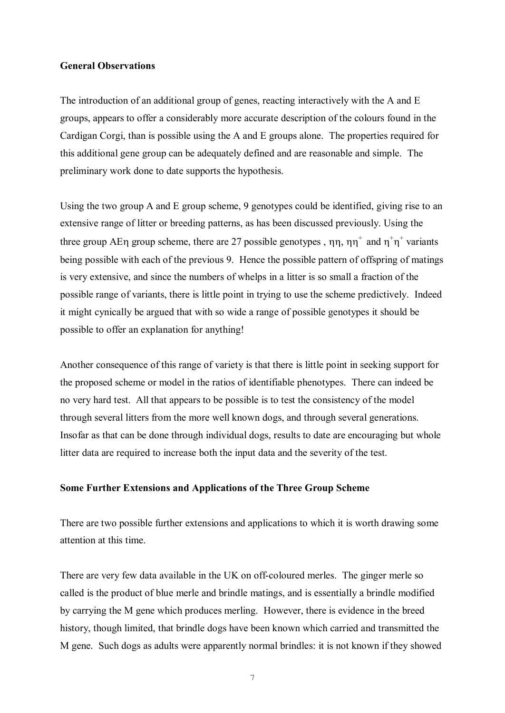## **General Observations**

The introduction of an additional group of genes, reacting interactively with the A and E groups, appears to offer a considerably more accurate description of the colours found in the Cardigan Corgi, than is possible using the A and E groups alone. The properties required for this additional gene group can be adequately defined and are reasonable and simple. The preliminary work done to date supports the hypothesis.

Using the two group A and E group scheme, 9 genotypes could be identified, giving rise to an extensive range of litter or breeding patterns, as has been discussed previously. Using the three group AE $\eta$  group scheme, there are 27 possible genotypes,  $\eta \eta$ ,  $\eta \eta^+$  and  $\eta^+ \eta^+$  variants being possible with each of the previous 9. Hence the possible pattern of offspring of matings is very extensive, and since the numbers of whelps in a litter is so small a fraction of the possible range of variants, there is little point in trying to use the scheme predictively. Indeed it might cynically be argued that with so wide a range of possible genotypes it should be possible to offer an explanation for anything!

Another consequence of this range of variety is that there is little point in seeking support for the proposed scheme or model in the ratios of identifiable phenotypes. There can indeed be no very hard test. All that appears to be possible is to test the consistency of the model through several litters from the more well known dogs, and through several generations. Insofar as that can be done through individual dogs, results to date are encouraging but whole litter data are required to increase both the input data and the severity of the test.

#### **Some Further Extensions and Applications of the Three Group Scheme**

There are two possible further extensions and applications to which it is worth drawing some attention at this time.

There are very few data available in the UK on off-coloured merles. The ginger merle so called is the product of blue merle and brindle matings, and is essentially a brindle modified by carrying the M gene which produces merling. However, there is evidence in the breed history, though limited, that brindle dogs have been known which carried and transmitted the M gene. Such dogs as adults were apparently normal brindles: it is not known if they showed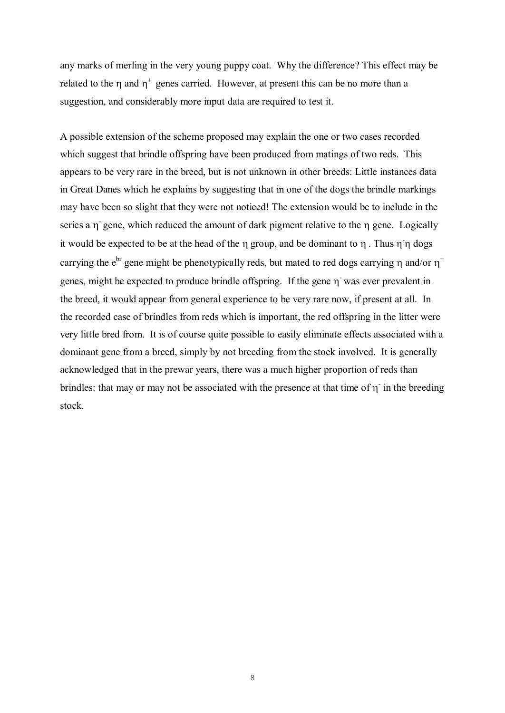any marks of merling in the very young puppy coat. Why the difference? This effect may be related to the  $\eta$  and  $\eta^+$  genes carried. However, at present this can be no more than a suggestion, and considerably more input data are required to test it.

A possible extension of the scheme proposed may explain the one or two cases recorded which suggest that brindle offspring have been produced from matings of two reds. This appears to be very rare in the breed, but is not unknown in other breeds: Little instances data in Great Danes which he explains by suggesting that in one of the dogs the brindle markings may have been so slight that they were not noticed! The extension would be to include in the series a  $\eta$ <sup>-</sup> gene, which reduced the amount of dark pigment relative to the  $\eta$  gene. Logically it would be expected to be at the head of the  $\eta$  group, and be dominant to  $\eta$ . Thus  $\eta \dot{\eta}$  dogs carrying the e<sup>br</sup> gene might be phenotypically reds, but mated to red dogs carrying  $\eta$  and/or  $\eta^+$ genes, might be expected to produce brindle offspring. If the gene  $\eta$  was ever prevalent in the breed, it would appear from general experience to be very rare now, if present at all. In the recorded case of brindles from reds which is important, the red offspring in the litter were very little bred from. It is of course quite possible to easily eliminate effects associated with a dominant gene from a breed, simply by not breeding from the stock involved. It is generally acknowledged that in the prewar years, there was a much higher proportion of reds than brindles: that may or may not be associated with the presence at that time of  $\eta$  in the breeding stock.